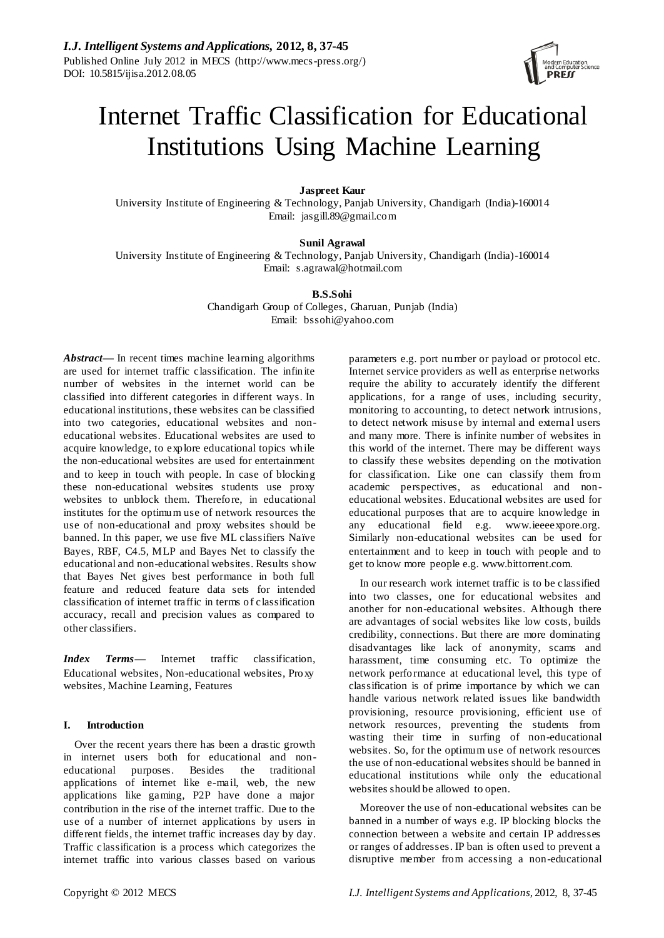

# Internet Traffic Classification for Educational Institutions Using Machine Learning

**Jaspreet Kaur**

University Institute of Engineering & Technology, Panjab University, Chandigarh (India)-160014 Email: jasgill.89@gmail.com

**Sunil Agrawal**

University Institute of Engineering & Technology, Panjab University, Chandigarh (India)-160014 Email: [s.agrawal@hotmail.com](mailto:s.agrawal@hotmail.com)

**B.S.Sohi**

Chandigarh Group of Colleges, Gharuan, Punjab (India) Email: bssohi@yahoo.com

*Abstract***—** In recent times machine learning algorithms are used for internet traffic classification. The infinite number of websites in the internet world can be classified into different categories in different ways. In educational institutions, these websites can be classified into two categories, educational websites and noneducational websites. Educational websites are used to acquire knowledge, to explore educational topics while the non-educational websites are used for entertainment and to keep in touch with people. In case of blocking these non-educational websites students use proxy websites to unblock them. Therefore, in educational institutes for the optimum use of network resources the use of non-educational and proxy websites should be banned. In this paper, we use five ML classifiers Na ve Bayes, RBF, C4.5, MLP and Bayes Net to classify the educational and non-educational websites. Results show that Bayes Net gives best performance in both full feature and reduced feature data sets for intended classification of internet traffic in terms of classification accuracy, recall and precision values as compared to other classifiers.

*Index Terms—* Internet traffic classification, Educational websites, Non-educational websites, Proxy websites, Machine Learning, Features

# **I. Introduction**

Over the recent years there has been a drastic growth in internet users both for educational and noneducational purposes. Besides the traditional applications of internet like e-mail, web, the new applications like gaming, P2P have done a major contribution in the rise of the internet traffic. Due to the use of a number of internet applications by users in different fields, the internet traffic increases day by day. Traffic classification is a process which categorizes the internet traffic into various classes based on various

parameters e.g. port number or payload or protocol etc. Internet service providers as well as enterprise networks require the ability to accurately identify the different applications, for a range of uses, including security, monitoring to accounting, to detect network intrusions, to detect network misuse by internal and external users and many more. There is infinite number of websites in this world of the internet. There may be different ways to classify these websites depending on the motivation for classification. Like one can classify them from academic perspectives, as educational and noneducational websites. Educational websites are used for educational purposes that are to acquire knowledge in any educational field e.g. [www.ieeeexpore.org.](http://www.ieeeexpore.org/) Similarly non-educational websites can be used for entertainment and to keep in touch with people and to get to know more people e.g[. www.bittorrent.com.](http://www.bittorrent.com/)

In our research work internet traffic is to be classified into two classes, one for educational websites and another for non-educational websites. Although there are advantages of social websites like low costs, builds credibility, connections. But there are more dominating disadvantages like lack of anonymity, scams and harassment, time consuming etc. To optimize the network performance at educational level, this type of classification is of prime importance by which we can handle various network related issues like bandwidth provisioning, resource provisioning, efficient use of network resources, preventing the students from wasting their time in surfing of non-educational websites. So, for the optimum use of network resources the use of non-educational websites should be banned in educational institutions while only the educational websites should be allowed to open.

Moreover the use of non-educational websites can be banned in a number of ways e.g. IP blocking blocks the connection between a website and certain IP addresses or ranges of addresses. IP ban is often used to prevent a disruptive member from accessing a non-educational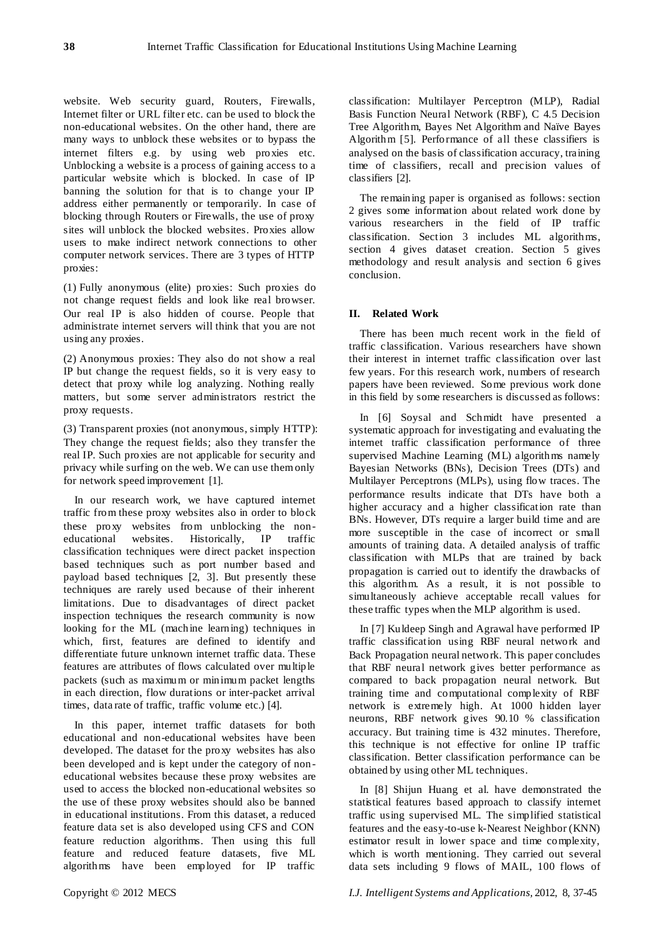website. Web security guard, Routers, Firewalls, Internet filter or URL filter etc. can be used to block the non-educational websites. On the other hand, there are many ways to unblock these websites or to bypass the internet filters e.g. by using web proxies etc. Unblocking a website is a process of gaining access to a particular website which is blocked. In case of IP banning the solution for that is to change your IP address either permanently or temporarily. In case of blocking through Routers or Firewalls, the use of proxy sites will unblock the blocked websites. Proxies allow users to make indirect network connections to other [computer network](http://en.wikipedia.org/wiki/Computer_network) services. There are 3 types of HTTP proxies:

(1) Fully anonymous (elite) proxies: Such proxies do not change request fields and look like real browser. Our real IP is also hidden of course. People that administrate internet servers will think that you are not using any proxies.

(2) Anonymous proxies: They also do not show a real IP but change the request fields, so it is very easy to detect that proxy while log analyzing. Nothing really matters, but some server administrators restrict the proxy requests.

(3) Transparent proxies (not anonymous, simply HTTP): They change the request fields; also they transfer the real IP. Such proxies are not applicable for security and privacy while surfing on the web. We can use them only for network speed improvement [1].

In our research work, we have captured internet traffic from these proxy websites also in order to block these proxy websites from unblocking the non-<br>educational websites. Historically, IP traffic educational websites. Historically, classification techniques were direct packet inspection based techniques such as port number based and payload based techniques [2, 3]. But presently these techniques are rarely used because of their inherent limitations. Due to disadvantages of direct packet inspection techniques the research community is now looking for the ML (machine learning) techniques in which, first, features are defined to identify and differentiate future unknown internet traffic data. These features are attributes of flows calculated over multiple packets (such as maximum or minimum packet lengths in each direction, flow durations or inter-packet arrival times, data rate of traffic, traffic volume etc.) [4].

In this paper, internet traffic datasets for both educational and non-educational websites have been developed. The dataset for the proxy websites has also been developed and is kept under the category of noneducational websites because these proxy websites are used to access the blocked non-educational websites so the use of these proxy websites should also be banned in educational institutions. From this dataset, a reduced feature data set is also developed using CFS and CON feature reduction algorithms. Then using this full feature and reduced feature datasets, five ML algorithms have been employed for IP traffic

classification: Multilayer Perceptron (MLP), Radial Basis Function Neural Network (RBF), C 4.5 Decision Tree Algorithm, Bayes Net Algorithm and Na ve Bayes Algorithm [5]. Performance of all these classifiers is analysed on the basis of classification accuracy, training time of classifiers, recall and precision values of classifiers [2].

The remaining paper is organised as follows: section 2 gives some information about related work done by various researchers in the field of IP traffic classification. Section 3 includes ML algorithms, section 4 gives dataset creation. Section 5 gives methodology and result analysis and section 6 gives conclusion.

# **II. Related Work**

There has been much recent work in the field of traffic classification. Various researchers have shown their interest in internet traffic classification over last few years. For this research work, numbers of research papers have been reviewed. Some previous work done in this field by some researchers is discussed as follows:

In [6] Soysal and Schmidt have presented a systematic approach for investigating and evaluating the internet traffic classification performance of three supervised Machine Learning (ML) algorithms namely Bayesian Networks (BNs), Decision Trees (DTs) and Multilayer Perceptrons (MLPs), using flow traces. The performance results indicate that DTs have both a higher accuracy and a higher classification rate than BNs. However, DTs require a larger build time and are more susceptible in the case of incorrect or small amounts of training data. A detailed analysis of traffic classification with MLPs that are trained by back propagation is carried out to identify the drawbacks of this algorithm. As a result, it is not possible to simultaneously achieve acceptable recall values for these traffic types when the MLP algorithm is used.

In [7] Kuldeep Singh and Agrawal have performed IP traffic classification using RBF neural network and Back Propagation neural network. This paper concludes that RBF neural network gives better performance as compared to back propagation neural network. But training time and computational complexity of RBF network is extremely high. At 1000 hidden layer neurons, RBF network gives 90.10 % classification accuracy. But training time is 432 minutes. Therefore, this technique is not effective for online IP traffic classification. Better classification performance can be obtained by using other ML techniques.

In [8] Shijun Huang et al. have demonstrated the statistical features based approach to classify internet traffic using supervised ML. The simplified statistical features and the easy-to-use k-Nearest Neighbor (KNN) estimator result in lower space and time complexity, which is worth mentioning. They carried out several data sets including 9 flows of MAIL, 100 flows of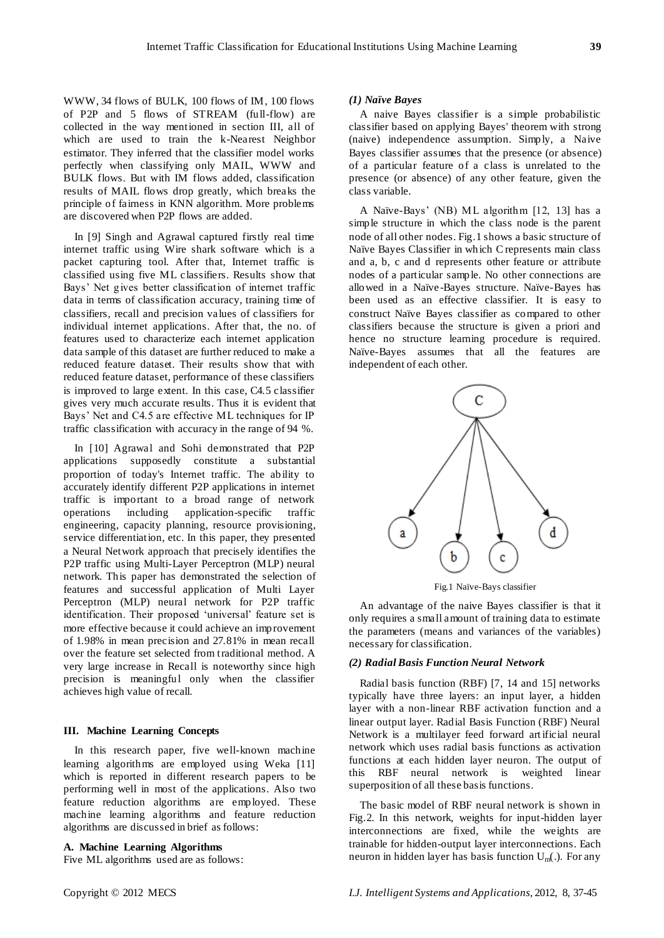WWW, 34 flows of BULK, 100 flows of IM, 100 flows of P2P and 5 flows of STREAM (full-flow) are collected in the way mentioned in section III, all of which are used to train the k-Nearest Neighbor estimator. They inferred that the classifier model works perfectly when classifying only MAIL, WWW and BULK flows. But with IM flows added, classification results of MAIL flows drop greatly, which breaks the principle of fairness in KNN algorithm. More problems are discovered when P2P flows are added.

In [9] Singh and Agrawal captured firstly real time internet traffic using Wire shark software which is a packet capturing tool. After that, Internet traffic is classified using five ML classifiers. Results show that Bays' Net gives better classification of internet traffic data in terms of classification accuracy, training time of classifiers, recall and precision values of classifiers for individual internet applications. After that, the no. of features used to characterize each internet application data sample of this dataset are further reduced to make a reduced feature dataset. Their results show that with reduced feature dataset, performance of these classifiers is improved to large extent. In this case, C4.5 classifier gives very much accurate results. Thus it is evident that Bays' Net and C4.5 are effective ML techniques for IP traffic classification with accuracy in the range of 94 %.

In [10] Agrawal and Sohi demonstrated that P2P applications supposedly constitute a substantial proportion of today's Internet traffic. The ability to accurately identify different P2P applications in internet traffic is important to a broad range of network operations including application-specific traffic engineering, capacity planning, resource provisioning, service differentiation, etc. In this paper, they presented a Neural Network approach that precisely identifies the P2P traffic using Multi-Layer Perceptron (MLP) neural network. This paper has demonstrated the selection of features and successful application of Multi Layer Perceptron (MLP) neural network for P2P traffic identification. Their proposed 'universal' feature set is more effective because it could achieve an improvement of 1.98% in mean precision and 27.81% in mean recall over the feature set selected from traditional method. A very large increase in Recall is noteworthy since high precision is meaningful only when the classifier achieves high value of recall.

## **III. Machine Learning Concepts**

In this research paper, five well-known machine learning algorithms are employed using Weka [11] which is reported in different research papers to be performing well in most of the applications. Also two feature reduction algorithms are employed. These machine learning algorithms and feature reduction algorithms are discussed in brief as follows:

# **A. Machine Learning Algorithms**

Five ML algorithms used are as follows:

#### *(1) Naïve Bayes*

A naive Bayes classifier is a simple probabilistic [classifier](http://en.wikipedia.org/wiki/Classifier_(mathematics)) based on applying [Bayes' theorem](http://en.wikipedia.org/wiki/Bayes%27_theorem) with strong (naive) [independence](http://en.wikipedia.org/wiki/Statistical_independence) assumption. Simply, a Naive Bayes classifier assumes that the presence (or absence) of a particular feature of a class is unrelated to the presence (or absence) of any other feature, given the class variable.

A Naïve-Bays' (NB) ML algorithm [12, 13] has a simple structure in which the class node is the parent node of all other nodes. Fig.1 shows a basic structure of Na *ive* Bayes Classifier in which C represents main class and a, b, c and d represents other feature or attribute nodes of a particular sample. No other connections are allowed in a Na ve-Bayes structure. Na ve-Bayes has been used as an effective classifier. It is easy to construct Naïve Bayes classifier as compared to other classifiers because the structure is given a priori and hence no structure learning procedure is required. Na  $\bar{v}$ e-Bayes assumes that all the features are independent of each other.



Fig.1 Naïve-Bays classifier

An advantage of the naive Bayes classifier is that it only requires a small amount of training data to estimate the parameters (means and variances of the variables) necessary for classification.

## *(2) Radial Basis Function Neural Network*

Radial basis function (RBF) [7, 14 and 15] networks typically have three layers: an input layer, a hidden layer with a non-linear RBF activation function and a linear output layer. Radial Basis Function (RBF) Neural Network is a multilayer feed forward art ificial neural network which uses radial basis functions as activation functions at each hidden layer neuron. The output of this RBF neural network is weighted linear superposition of all these basis functions.

The basic model of RBF neural network is shown in Fig.2. In this network, weights for input-hidden layer interconnections are fixed, while the weights are trainable for hidden-output layer interconnections. Each neuron in hidden layer has basis function  $U_m$ . For any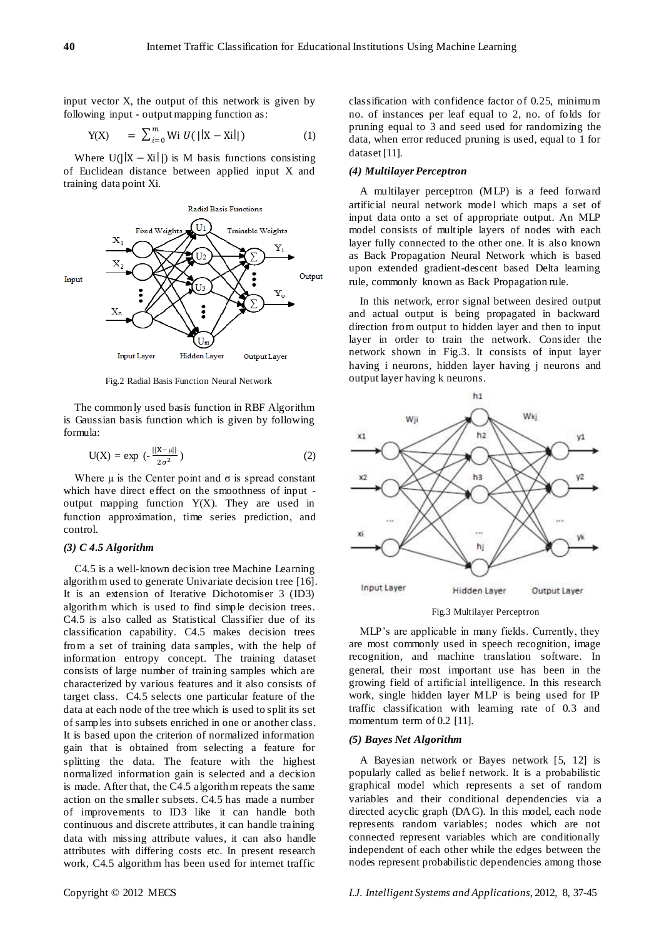input vector X, the output of this network is given by following input - output mapping function as:

$$
Y(X) = \sum_{i=0}^{m} Wi U(||X - Xi||)
$$
 (1)

Where  $U(|X - Xi|)$  is M basis functions consisting of Euclidean distance between applied input X and training data point Xi.



Fig.2 Radial Basis Function Neural Network

The commonly used basis function in RBF Algorithm is Gaussian basis function which is given by following formula:

$$
U(X) = \exp\left(-\frac{||X-\mu||}{2\sigma^2}\right) \tag{2}
$$

Where  $\mu$  is the Center point and  $\sigma$  is spread constant which have direct effect on the smoothness of input output mapping function Y(X). They are used in [function approximation,](http://en.wikipedia.org/wiki/Function_approximation) [time series prediction,](http://en.wikipedia.org/wiki/Time_series_prediction) and [control.](http://en.wikipedia.org/wiki/Control_theory)

# *(3) C 4.5 Algorithm*

C4.5 is a well-known decision tree Machine Learning algorithm used to generate Univariate decision tree [16]. It is an extension of Iterative Dichotomiser 3 (ID3) algorithm which is used to find simple decision trees. C4.5 is also called as Statistical Classifier due of its classification capability. C4.5 makes decision trees from a set of training data samples, with the help of information entropy concept. The training dataset consists of large number of training samples which are characterized by various features and it also consists of target class. C4.5 selects one particular feature of the data at each node of the tree which is used to split its set of samples into subsets enriched in one or another class. It is based upon the criterion of normalized information gain that is obtained from selecting a feature for splitting the data. The feature with the highest normalized information gain is selected and a decision is made. After that, the C4.5 algorithm repeats the same action on the smaller subsets. C4.5 has made a number of improvements to ID3 like it can handle both continuous and discrete attributes, it can handle training data with missing attribute values, it can also handle attributes with differing costs etc. In present research work, C4.5 algorithm has been used for internet traffic

classification with confidence factor of 0.25, minimum no. of instances per leaf equal to 2, no. of folds for pruning equal to 3 and seed used for randomizing the data, when error reduced pruning is used, equal to 1 for dataset [11].

## *(4) Multilayer Perceptron*

A multilayer perceptron (MLP) is a feed [forward](http://en.wikipedia.org/wiki/Feedforward_neural_network) [artificial neural network](http://en.wikipedia.org/wiki/Artificial_neural_network) model which maps a set of input data onto a set of appropriate output. An MLP model consists of multiple layers of nodes with each layer fully connected to the other one. It is also known as Back Propagation Neural Network which is based upon extended gradient-descent based Delta learning rule, commonly known as Back Propagation rule.

In this network, error signal between desired output and actual output is being propagated in backward direction from output to hidden layer and then to input layer in order to train the network. Consider the network shown in Fig.3. It consists of input layer having i neurons, hidden layer having j neurons and output layer having k neurons.



Fig.3 Multilayer Perceptron

MLP's are applicable in many fields. Currently, they are most commonly used in [speech recognition,](http://en.wikipedia.org/wiki/Speech_recognition) [image](http://en.wikipedia.org/wiki/Image_recognition)  [recognition,](http://en.wikipedia.org/wiki/Image_recognition) and [machine translation](http://en.wikipedia.org/wiki/Machine_translation) software. In general, their most important use has been in the growing field of artificial intelligence. In this research work, single hidden layer MLP is being used for IP traffic classification with learning rate of 0.3 and momentum term of 0.2 [11].

## *(5) Bayes Net Algorithm*

A Bayesian network or Bayes network [5, 12] is popularly called as belief network. It is a [probabilistic](http://en.wikipedia.org/wiki/Graphical_model)  [graphical model](http://en.wikipedia.org/wiki/Graphical_model) which represents a set of [random](http://en.wikipedia.org/wiki/Random_variables)  [variables](http://en.wikipedia.org/wiki/Random_variables) and their [conditional dependencies](http://en.wikipedia.org/wiki/Conditional_independence) via a [directed acyclic graph](http://en.wikipedia.org/wiki/Directed_acyclic_graph) (DAG). In this model, each node represents random variables; nodes which are not connected represent variables which are conditionally independent of each other while the edges between the nodes represent probabilistic dependencies among those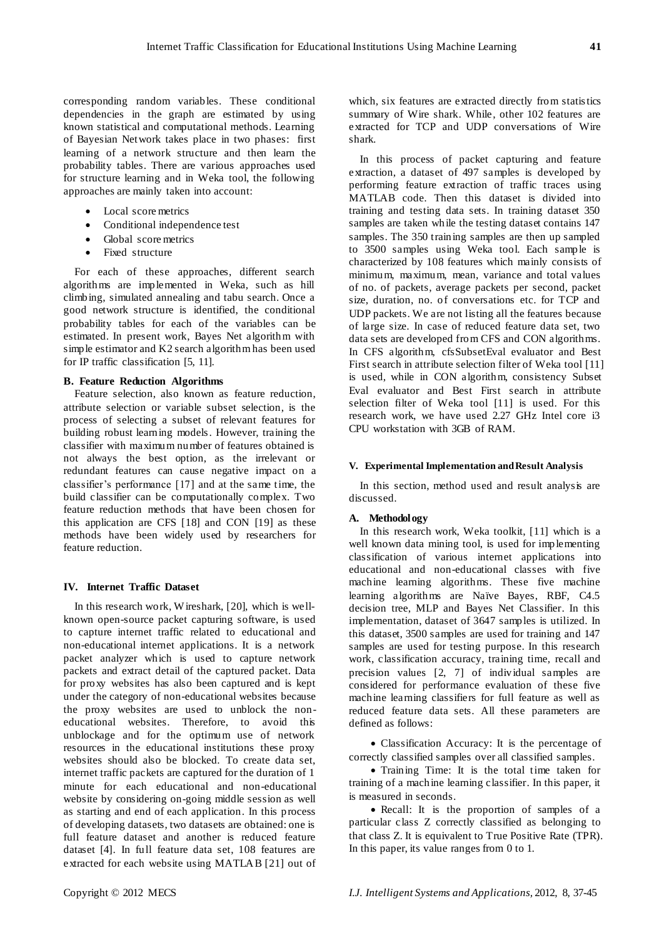corresponding random variables. These conditional dependencies in the graph are estimated by using known statistical and computational methods. Learning of Bayesian Network takes place in two phases: first learning of a network structure and then learn the probability tables. There are various approaches used for structure learning and in Weka tool, the following approaches are mainly taken into account:

- Local score metrics
- Conditional independence test
- Global score metrics
- Fixed structure

For each of these approaches, different search algorithms are implemented in Weka, such as hill climbing, simulated annealing and tabu search. Once a good network structure is identified, the conditional probability tables for each of the variables can be estimated. In present work, Bayes Net algorithm with simple estimator and K2 search algorithm has been used for IP traffic classification [5, 11].

#### **B. Feature Reduction Algorithms**

Feature selection, also known as feature reduction, attribute selection or variable subset selection, is the process of selecting a subset of relevant features for building robust learning models. However, training the classifier with maximum number of features obtained is not always the best option, as the irrelevant or redundant features can cause negative impact on a classifier's performance [17] and at the same time, the build classifier can be computationally complex. Two feature reduction methods that have been chosen for this application are CFS [18] and CON [19] as these methods have been widely used by researchers for feature reduction.

## **IV. Internet Traffic Dataset**

In this research work, W ireshark, [20], which is wellknown open-source packet capturing software, is used to capture internet traffic related to educational and non-educational internet applications. It is a network packet analyzer which is used to capture network packets and extract detail of the captured packet. Data for proxy websites has also been captured and is kept under the category of non-educational websites because the proxy websites are used to unblock the noneducational websites. Therefore, to avoid this unblockage and for the optimum use of network resources in the educational institutions these proxy websites should also be blocked. To create data set, internet traffic packets are captured for the duration of 1 minute for each educational and non-educational website by considering on-going middle session as well as starting and end of each application. In this process of developing datasets, two datasets are obtained: one is full feature dataset and another is reduced feature dataset [4]. In full feature data set, 108 features are extracted for each website using MATLAB [21] out of which, six features are extracted directly from statistics summary of Wire shark. While, other 102 features are extracted for TCP and UDP conversations of Wire shark.

In this process of packet capturing and feature extraction, a dataset of 497 samples is developed by performing feature extraction of traffic traces using MATLAB code. Then this dataset is divided into training and testing data sets. In training dataset 350 samples are taken while the testing dataset contains 147 samples. The 350 training samples are then up sampled to 3500 samples using Weka tool. Each sample is characterized by 108 features which mainly consists of minimum, maximum, mean, variance and total values of no. of packets, average packets per second, packet size, duration, no. of conversations etc. for TCP and UDP packets. We are not listing all the features because of large size. In case of reduced feature data set, two data sets are developed from CFS and CON algorithms. In CFS algorithm, cfsSubsetEval evaluator and Best First search in attribute selection filter of Weka tool [11] is used, while in CON algorithm, consistency Subset Eval evaluator and Best First search in attribute selection filter of Weka tool [11] is used. For this research work, we have used 2.27 GHz Intel core i3 CPU workstation with 3GB of RAM.

## **V. Experimental Implementation and Result Analysis**

In this section, method used and result analysis are discussed.

#### **A. Methodology**

In this research work, Weka toolkit, [11] which is a well known data mining tool, is used for implementing classification of various internet applications into educational and non-educational classes with five machine learning algorithms. These five machine learning algorithms are Na ve Bayes, RBF, C4.5 decision tree, MLP and Bayes Net Classifier. In this implementation, dataset of 3647 samples is utilized. In this dataset, 3500 samples are used for training and 147 samples are used for testing purpose. In this research work, classification accuracy, training time, recall and precision values [2, 7] of individual samples are considered for performance evaluation of these five machine learning classifiers for full feature as well as reduced feature data sets. All these parameters are defined as follows:

 Classification Accuracy: It is the percentage of correctly classified samples over all classified samples.

 Training Time: It is the total time taken for training of a machine learning classifier. In this paper, it is measured in seconds.

• Recall: It is the proportion of samples of a particular class Z correctly classified as belonging to that class Z. It is equivalent to True Positive Rate (TPR). In this paper, its value ranges from 0 to 1.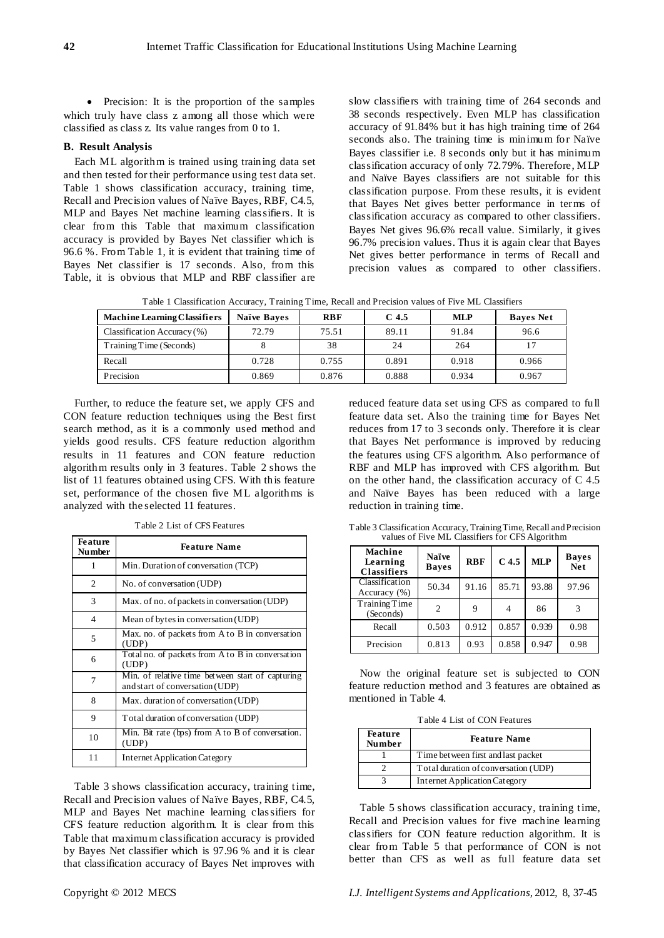• Precision: It is the proportion of the samples which truly have class z among all those which were classified as class z. Its value ranges from 0 to 1.

## **B. Result Analysis**

Each ML algorithm is trained using training data set and then tested for their performance using test data set. Table 1 shows classification accuracy, training time, Recall and Precision values of Na  $\ddot{v}$ e Bayes, RBF, C4.5, MLP and Bayes Net machine learning classifiers. It is clear from this Table that maximum classification accuracy is provided by Bayes Net classifier which is 96.6 %. From Table 1, it is evident that training time of Bayes Net classifier is 17 seconds. Also, from this Table, it is obvious that MLP and RBF classifier are

slow classifiers with training time of 264 seconds and 38 seconds respectively. Even MLP has classification accuracy of 91.84% but it has high training time of 264 seconds also. The training time is minimum for Na ve Bayes classifier i.e. 8 seconds only but it has minimum classification accuracy of only 72.79%. Therefore, MLP and Naïve Bayes classifiers are not suitable for this classification purpose. From these results, it is evident that Bayes Net gives better performance in terms of classification accuracy as compared to other classifiers. Bayes Net gives 96.6% recall value. Similarly, it gives 96.7% precision values. Thus it is again clear that Bayes Net gives better performance in terms of Recall and precision values as compared to other classifiers.

Table 1 Classification Accuracy, Training Time, Recall and Precision values of Five ML Classifiers

| <b>Machine Learning Classifiers</b> | Na we Baves | <b>RBF</b> | C <sub>4.5</sub> | <b>MLP</b> | <b>Baves</b> Net |
|-------------------------------------|-------------|------------|------------------|------------|------------------|
| Classification Accuracy $(\%)$      | 72.79       | 75.51      | 89.11            | 91.84      | 96.6             |
| Training Time (Seconds)             |             | 38         | 24               | 264        |                  |
| Recall                              | 0.728       | 0.755      | 0.891            | 0.918      | 0.966            |
| Precision                           | 0.869       | 0.876      | 0.888            | 0.934      | 0.967            |

Further, to reduce the feature set, we apply CFS and CON feature reduction techniques using the Best first search method, as it is a commonly used method and yields good results. CFS feature reduction algorithm results in 11 features and CON feature reduction algorithm results only in 3 features. Table 2 shows the list of 11 features obtained using CFS. With this feature set, performance of the chosen five ML algorithms is analyzed with the selected 11 features.

|  |  |  |  | Table 2 List of CFS Features |
|--|--|--|--|------------------------------|
|--|--|--|--|------------------------------|

| <b>Feature</b><br><b>Number</b> | <b>Feature Name</b>                                                                 |
|---------------------------------|-------------------------------------------------------------------------------------|
| 1                               | Min. Duration of conversation (TCP)                                                 |
| 2                               | No. of conversation (UDP)                                                           |
| 3                               | Max. of no. of packets in conversation (UDP)                                        |
| 4                               | Mean of bytes in conversation (UDP)                                                 |
| 5                               | Max. no. of packets from A to B in conversation<br>(UDP)                            |
| 6                               | Total no. of packets from A to B in conversation<br>(UDP)                           |
| 7                               | Min. of relative time between start of capturing<br>and start of conversation (UDP) |
| 8                               | Max. duration of conversation (UDP)                                                 |
| 9                               | Total duration of conversation (UDP)                                                |
| 10                              | Min. Bit rate (bps) from A to B of conversation.<br>(UDP)                           |
| 11                              | <b>Internet Application Category</b>                                                |

Table 3 shows classification accuracy, training time, Recall and Precision values of Na *ive Bayes*, RBF, C4.5, MLP and Bayes Net machine learning classifiers for CFS feature reduction algorithm. It is clear from this Table that maximum classification accuracy is provided by Bayes Net classifier which is 97.96 % and it is clear that classification accuracy of Bayes Net improves with reduced feature data set using CFS as compared to full feature data set. Also the training time for Bayes Net reduces from 17 to 3 seconds only. Therefore it is clear that Bayes Net performance is improved by reducing the features using CFS algorithm. Also performance of RBF and MLP has improved with CFS algorithm. But on the other hand, the classification accuracy of C 4.5 and Naïve Bayes has been reduced with a large reduction in training time.

**Machine Learning Classifiers Naïve Bayes RBF C 4.5 MLP Bayes Net** Classification Accuracy (%) 50.34 91.16 85.71 93.88 97.96 Training Time  $\frac{1000 \text{ m}}{2}$  9 4 86 3 Recall 0.503 0.912 0.857 0.939 0.98 Precision 0.813 0.93 0.858 0.947 0.98

Table 3 Classification Accuracy, Training Time, Recall and Precision values of Five ML Classifiers for CFS Algorithm

Now the original feature set is subjected to CON feature reduction method and 3 features are obtained as mentioned in Table 4.

Table 4 List of CON Features

| <b>Feature</b><br><b>Number</b> | <b>Feature Name</b>                  |  |  |  |
|---------------------------------|--------------------------------------|--|--|--|
|                                 | Time between first and last packet   |  |  |  |
|                                 | Total duration of conversation (UDP) |  |  |  |
|                                 | <b>Internet Application Category</b> |  |  |  |

Table 5 shows classification accuracy, training time, Recall and Precision values for five machine learning classifiers for CON feature reduction algorithm. It is clear from Table 5 that performance of CON is not better than CFS as well as full feature data set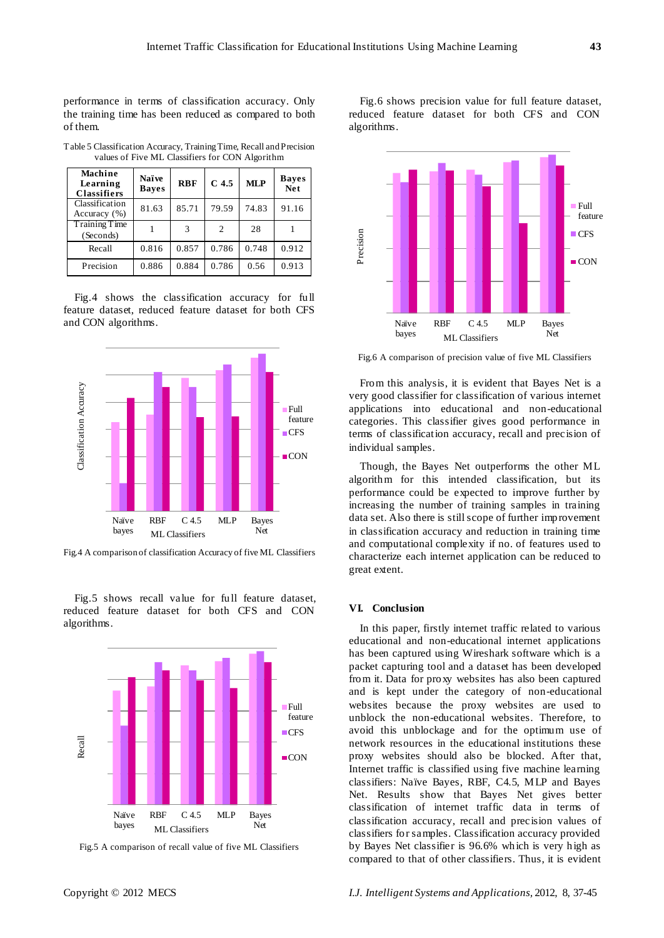performance in terms of classification accuracy. Only the training time has been reduced as compared to both of them.

| Machine<br>Learning<br><b>Classifiers</b> | Na we<br><b>Baves</b> | <b>RBF</b> | C <sub>4.5</sub>              | <b>MLP</b> | <b>Baves</b><br><b>Net</b> |
|-------------------------------------------|-----------------------|------------|-------------------------------|------------|----------------------------|
| Classification<br>Accuracy $(\% )$        | 81.63                 | 85.71      | 79.59                         | 74.83      | 91.16                      |
| Training Time<br>(Seconds)                |                       | 3          | $\mathfrak{D}_{\mathfrak{p}}$ | 28         |                            |
| Recall                                    | 0.816                 | 0.857      | 0.786                         | 0.748      | 0.912                      |
| Precision                                 | 0.886                 | 0.884      | 0.786                         | 0.56       | 0.913                      |

Table 5 Classification Accuracy, Training Time, Recall and Precision values of Five ML Classifiers for CON Algorithm

Fig.4 shows the classification accuracy for full feature dataset, reduced feature dataset for both CFS and CON algorithms.



Fig.4 A comparison of classification Accuracy of five ML Classifiers

Fig.5 shows recall value for full feature dataset, reduced feature dataset for both CFS and CON algorithms.



Fig.5 A comparison of recall value of five ML Classifiers

Fig.6 shows precision value for full feature dataset, reduced feature dataset for both CFS and CON algorithms.



Fig.6 A comparison of precision value of five ML Classifiers

From this analysis, it is evident that Bayes Net is a very good classifier for classification of various internet applications into educational and non-educational categories. This classifier gives good performance in terms of classification accuracy, recall and precision of individual samples.

Though, the Bayes Net outperforms the other ML algorithm for this intended classification, but its performance could be expected to improve further by increasing the number of training samples in training data set. Also there is still scope of further improvement in classification accuracy and reduction in training time and computational complexity if no. of features used to characterize each internet application can be reduced to great extent.

## **VI. Conclusion**

In this paper, firstly internet traffic related to various educational and non-educational internet applications has been captured using Wireshark software which is a packet capturing tool and a dataset has been developed from it. Data for proxy websites has also been captured and is kept under the category of non-educational websites because the proxy websites are used to unblock the non-educational websites. Therefore, to avoid this unblockage and for the optimum use of network resources in the educational institutions these proxy websites should also be blocked. After that, Internet traffic is classified using five machine learning classifiers: Na ve Bayes, RBF, C4.5, MLP and Bayes Net. Results show that Bayes Net gives better classification of internet traffic data in terms of classification accuracy, recall and precision values of classifiers for samples. Classification accuracy provided by Bayes Net classifier is 96.6% which is very high as compared to that of other classifiers. Thus, it is evident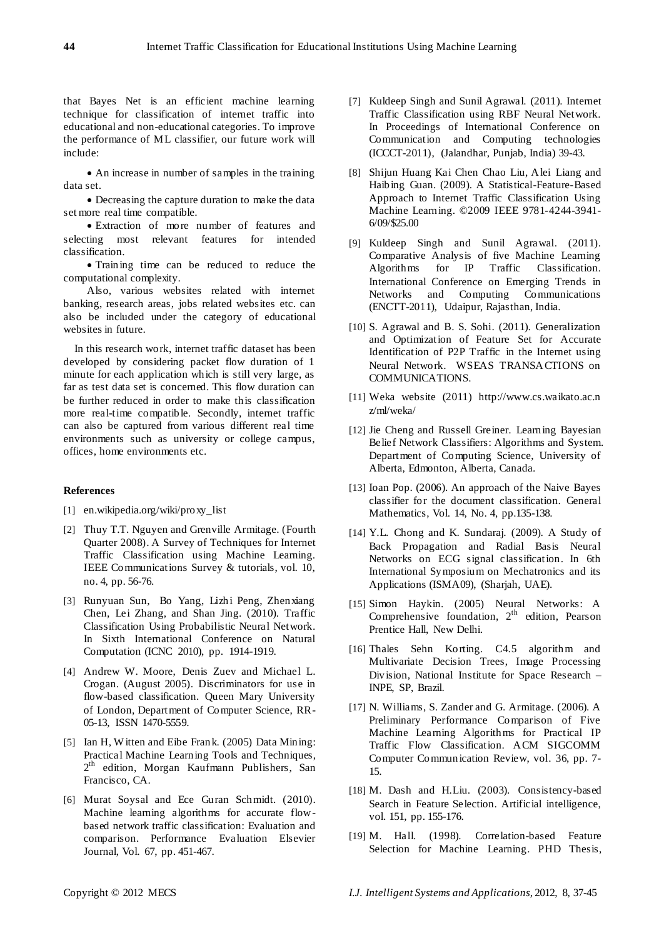that Bayes Net is an efficient machine learning technique for classification of internet traffic into educational and non-educational categories. To improve the performance of ML classifier, our future work will include:

 An increase in number of samples in the training data set.

 Decreasing the capture duration to make the data set more real time compatible.

 Extraction of more number of features and selecting most relevant features for intended classification.

 Training time can be reduced to reduce the computational complexity.

Also, various websites related with internet banking, research areas, jobs related websites etc. can also be included under the category of educational websites in future.

In this research work, internet traffic dataset has been developed by considering packet flow duration of 1 minute for each application which is still very large, as far as test data set is concerned. This flow duration can be further reduced in order to make this classification more real-time compatible. Secondly, internet traffic can also be captured from various different real time environments such as university or college campus, offices, home environments etc.

#### **References**

- [1] en.wikipedia.org/wiki/proxy\_list
- [2] Thuy T.T. Nguyen and Grenville Armitage. (Fourth Quarter 2008). A Survey of Techniques for Internet Traffic Classification using Machine Learning. IEEE Communications Survey & tutorials, vol. 10, no. 4, pp. 56-76.
- [3] Runyuan Sun, Bo Yang, Lizhi Peng, Zhenxiang Chen, Lei Zhang, and Shan Jing. (2010). Traffic Classification Using Probabilistic Neural Network. In Sixth International Conference on Natural Computation (ICNC 2010), pp. 1914-1919.
- [4] Andrew W. Moore, Denis Zuev and Michael L. Crogan. (August 2005). Discriminators for use in flow-based classification. Queen Mary University of London, Department of Computer Science, RR-05-13, ISSN 1470-5559.
- [5] Ian H, W itten and Eibe Frank. (2005) Data Mining: Practical Machine Learning Tools and Techniques, 2<sup>th</sup> edition, Morgan Kaufmann Publishers, San Francisco, CA.
- [6] Murat Soysal and Ece Guran Schmidt. (2010). Machine learning algorithms for accurate flowbased network traffic classification: Evaluation and comparison. Performance Evaluation Elsevier Journal, Vol. 67, pp. 451-467.
- [7] Kuldeep Singh and Sunil Agrawal. (2011). Internet Traffic Classification using RBF Neural Network. In Proceedings of International Conference on Communication and Computing technologies (ICCCT-2011), (Jalandhar, Punjab, India) 39-43.
- [8] Shijun Huang Kai Chen Chao Liu, Alei Liang and Haibing Guan. (2009). A Statistical-Feature-Based Approach to Internet Traffic Classification Using Machine Learning. ©2009 IEEE 9781-4244-3941- 6/09/\$25.00
- [9] Kuldeep Singh and Sunil Agrawal. (2011). Comparative Analysis of five Machine Learning Algorithms for IP Traffic Classification. International Conference on Emerging Trends in Networks and Computing Communications (ENCTT-2011), Udaipur, Rajasthan, India.
- [10] S. Agrawal and B. S. Sohi. (2011). Generalization and Optimization of Feature Set for Accurate Identification of P2P Traffic in the Internet using Neural Network. WSEAS TRANSACTIONS on COMMUNICATIONS.
- [11] Weka website (2011) http:/[/www.cs.waikato.ac.n](http://www.cs.waikato.ac.nz/ml/weka/) [z/ml/weka/](http://www.cs.waikato.ac.nz/ml/weka/)
- [12] Jie Cheng and Russell Greiner*.* Learning Bayesian Belief Network Classifiers: Algorithms and System. Department of Computing Science, University of Alberta, Edmonton, Alberta, Canada.
- [13] Ioan Pop. (2006). An approach of the Naive Bayes classifier for the document classification. General Mathematics, Vol. 14, No. 4, pp.135-138.
- [14] Y.L. Chong and K. Sundaraj. (2009). A Study of Back Propagation and Radial Basis Neural Networks on ECG signal classification. In 6th International Symposium on Mechatronics and its Applications (ISMA09), (Sharjah, UAE).
- [15] Simon Haykin. (2005) Neural Networks: A Comprehensive foundation,  $2<sup>th</sup>$  edition, Pearson Prentice Hall, New Delhi.
- [16] Thales Sehn Korting. C4.5 algorithm and Multivariate Decision Trees, Image Processing Division, National Institute for Space Research – INPE, SP, Brazil.
- [17] N. Williams, S. Zander and G. Armitage. (2006). A Preliminary Performance Comparison of Five Machine Learning Algorithms for Practical IP Traffic Flow Classification. ACM SIGCOMM Computer Communication Review, vol. 36, pp. 7- 15.
- [18] M. Dash and H.Liu. (2003). Consistency-based Search in Feature Selection. Artificial intelligence, vol. 151, pp. 155-176.
- [19] M. Hall. (1998). Correlation-based Feature Selection for Machine Learning. PHD Thesis,